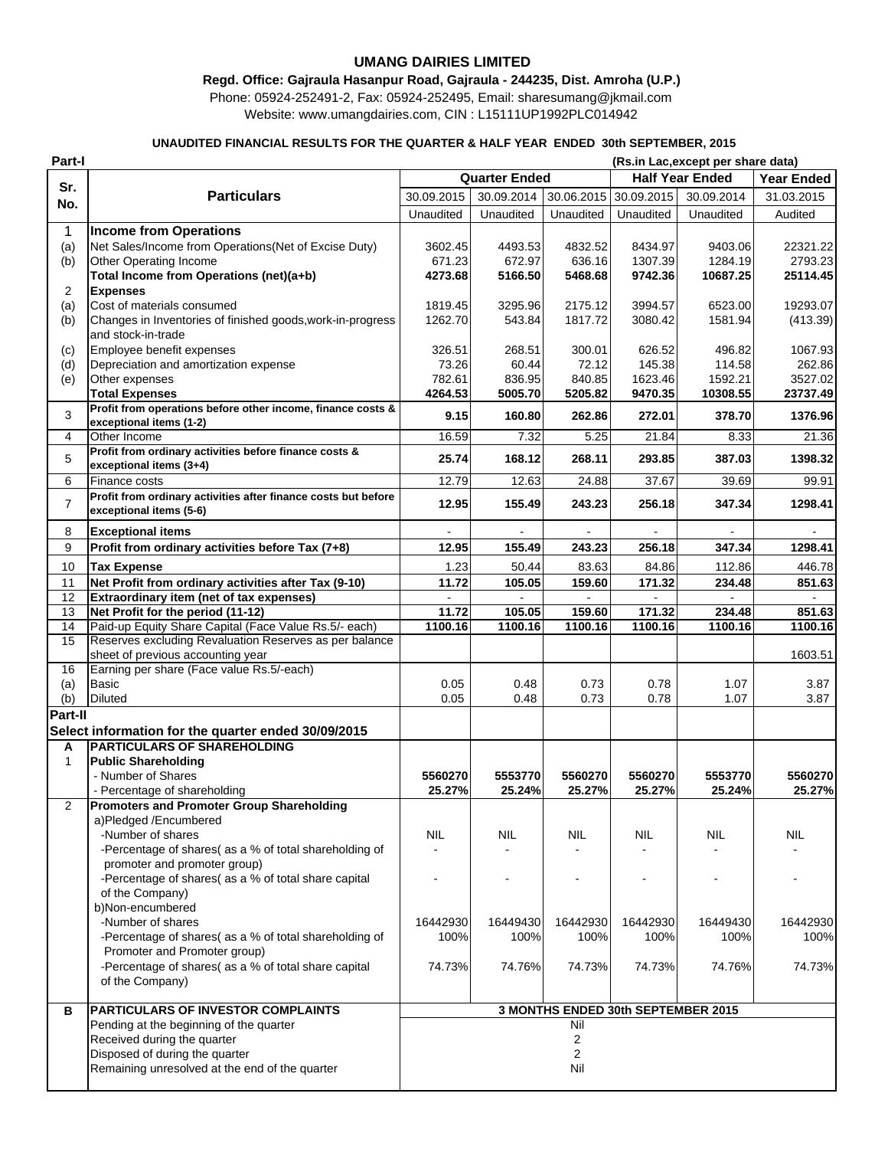## **UMANG DAIRIES LIMITED**

## **Regd. Office: Gajraula Hasanpur Road, Gajraula - 244235, Dist. Amroha (U.P.)**

Phone: 05924-252491-2, Fax: 05924-252495, Email: sharesumang@jkmail.com Website: www.umangdairies.com, CIN : L15111UP1992PLC014942

## **UNAUDITED FINANCIAL RESULTS FOR THE QUARTER & HALF YEAR ENDED 30th SEPTEMBER, 2015**

| Part-I         |                                                                |                                    |                      |            |            | (Rs.in Lac, except per share data) |                   |
|----------------|----------------------------------------------------------------|------------------------------------|----------------------|------------|------------|------------------------------------|-------------------|
|                |                                                                |                                    | <b>Quarter Ended</b> |            |            | <b>Half Year Ended</b>             | <b>Year Ended</b> |
| Sr.            | <b>Particulars</b>                                             | 30.09.2015                         | 30.09.2014           | 30.06.2015 | 30.09.2015 | 30.09.2014                         | 31.03.2015        |
| No.            |                                                                | Unaudited                          | Unaudited            | Unaudited  | Unaudited  | Unaudited                          | Audited           |
|                |                                                                |                                    |                      |            |            |                                    |                   |
| 1              | <b>Income from Operations</b>                                  |                                    |                      |            |            |                                    |                   |
| (a)            | Net Sales/Income from Operations(Net of Excise Duty)           | 3602.45                            | 4493.53              | 4832.52    | 8434.97    | 9403.06                            | 22321.22          |
| (b)            | Other Operating Income                                         | 671.23                             | 672.97               | 636.16     | 1307.39    | 1284.19                            | 2793.23           |
|                | Total Income from Operations (net)(a+b)                        | 4273.68                            | 5166.50              | 5468.68    | 9742.36    | 10687.25                           | 25114.45          |
| $\overline{2}$ | <b>Expenses</b>                                                |                                    |                      |            |            |                                    |                   |
| (a)            | Cost of materials consumed                                     | 1819.45                            | 3295.96              | 2175.12    | 3994.57    | 6523.00                            | 19293.07          |
| (b)            | Changes in Inventories of finished goods, work-in-progress     | 1262.70                            | 543.84               | 1817.72    | 3080.42    | 1581.94                            | (413.39)          |
|                | and stock-in-trade                                             |                                    |                      |            |            |                                    |                   |
| (c)            | Employee benefit expenses                                      | 326.51                             | 268.51               | 300.01     | 626.52     | 496.82                             | 1067.93           |
| (d)            | Depreciation and amortization expense                          | 73.26                              | 60.44                | 72.12      | 145.38     | 114.58                             | 262.86            |
| (e)            | Other expenses                                                 | 782.61                             | 836.95               | 840.85     | 1623.46    | 1592.21                            | 3527.02           |
|                | <b>Total Expenses</b>                                          | 4264.53                            | 5005.70              | 5205.82    | 9470.35    | 10308.55                           | 23737.49          |
| 3              | Profit from operations before other income, finance costs &    | 9.15                               | 160.80               | 262.86     | 272.01     | 378.70                             | 1376.96           |
|                | exceptional items (1-2)                                        |                                    |                      |            |            |                                    |                   |
| 4              | Other Income                                                   | 16.59                              | 7.32                 | 5.25       | 21.84      | 8.33                               | 21.36             |
| 5              | Profit from ordinary activities before finance costs &         | 25.74                              | 168.12               | 268.11     | 293.85     | 387.03                             | 1398.32           |
|                | exceptional items (3+4)                                        |                                    |                      |            |            |                                    |                   |
| 6              | Finance costs                                                  | 12.79                              | 12.63                | 24.88      | 37.67      | 39.69                              | 99.91             |
| $\overline{7}$ | Profit from ordinary activities after finance costs but before | 12.95                              | 155.49               | 243.23     | 256.18     | 347.34                             | 1298.41           |
|                | exceptional items (5-6)                                        |                                    |                      |            |            |                                    |                   |
| 8              | <b>Exceptional items</b>                                       |                                    |                      |            |            |                                    |                   |
| 9              | Profit from ordinary activities before Tax (7+8)               | 12.95                              | 155.49               | 243.23     | 256.18     | 347.34                             | 1298.41           |
|                |                                                                |                                    |                      |            |            |                                    |                   |
| 10             | <b>Tax Expense</b>                                             | 1.23                               | 50.44                | 83.63      | 84.86      | 112.86                             | 446.78            |
| 11             | Net Profit from ordinary activities after Tax (9-10)           | 11.72                              | 105.05               | 159.60     | 171.32     | 234.48                             | 851.63            |
| 12             | Extraordinary item (net of tax expenses)                       |                                    |                      |            |            |                                    |                   |
| 13             | Net Profit for the period (11-12)                              | 11.72                              | 105.05               | 159.60     | 171.32     | 234.48                             | 851.63            |
| 14             | Paid-up Equity Share Capital (Face Value Rs.5/- each)          | 1100.16                            | 1100.16              | 1100.16    | 1100.16    | 1100.16                            | 1100.16           |
| 15             | Reserves excluding Revaluation Reserves as per balance         |                                    |                      |            |            |                                    |                   |
|                | sheet of previous accounting year                              |                                    |                      |            |            |                                    | 1603.51           |
| 16             | Earning per share (Face value Rs.5/-each)                      |                                    |                      |            |            |                                    |                   |
| (a)            | Basic                                                          | 0.05                               | 0.48                 | 0.73       | 0.78       | 1.07                               | 3.87              |
| (b)            | Diluted                                                        | 0.05                               | 0.48                 | 0.73       | 0.78       | 1.07                               | 3.87              |
| Part-II        |                                                                |                                    |                      |            |            |                                    |                   |
|                | Select information for the quarter ended 30/09/2015            |                                    |                      |            |            |                                    |                   |
| A              | <b>PARTICULARS OF SHAREHOLDING</b>                             |                                    |                      |            |            |                                    |                   |
| $\mathbf{1}$   | <b>Public Shareholding</b>                                     |                                    |                      |            |            |                                    |                   |
|                | - Number of Shares                                             | 5560270                            | 5553770              | 5560270    | 5560270    | 5553770                            | 5560270           |
|                | - Percentage of shareholding                                   | 25.27%                             | 25.24%               | 25.27%     | 25.27%     | 25.24%                             | 25.27%            |
| $\mathcal{P}$  | <b>Promoters and Promoter Group Shareholding</b>               |                                    |                      |            |            |                                    |                   |
|                | a)Pledged /Encumbered                                          |                                    |                      |            |            |                                    |                   |
|                | -Number of shares                                              | <b>NIL</b>                         | NIL.                 | <b>NIL</b> | NIL        | NIL                                | NIL               |
|                | -Percentage of shares( as a % of total shareholding of         |                                    |                      |            |            |                                    |                   |
|                | promoter and promoter group)                                   |                                    |                      |            |            |                                    |                   |
|                | -Percentage of shares( as a % of total share capital           |                                    |                      |            |            |                                    |                   |
|                | of the Company)                                                |                                    |                      |            |            |                                    |                   |
|                | b)Non-encumbered                                               |                                    |                      |            |            |                                    |                   |
|                | -Number of shares                                              | 16442930                           | 16449430             | 16442930   | 16442930   | 16449430                           | 16442930          |
|                | -Percentage of shares(as a % of total shareholding of          | 100%                               | 100%                 | 100%       | 100%       | 100%                               | 100%              |
|                | Promoter and Promoter group)                                   |                                    |                      |            |            |                                    |                   |
|                | -Percentage of shares( as a % of total share capital           | 74.73%                             | 74.76%               | 74.73%     | 74.73%     | 74.76%                             | 74.73%            |
|                | of the Company)                                                |                                    |                      |            |            |                                    |                   |
|                |                                                                |                                    |                      |            |            |                                    |                   |
| в              | PARTICULARS OF INVESTOR COMPLAINTS                             | 3 MONTHS ENDED 30th SEPTEMBER 2015 |                      |            |            |                                    |                   |
|                | Pending at the beginning of the quarter                        |                                    |                      | Nil        |            |                                    |                   |
|                | Received during the quarter                                    |                                    |                      | 2          |            |                                    |                   |
|                | Disposed of during the quarter                                 |                                    |                      | 2          |            |                                    |                   |
|                | Remaining unresolved at the end of the quarter                 |                                    |                      | Nil        |            |                                    |                   |
|                |                                                                |                                    |                      |            |            |                                    |                   |